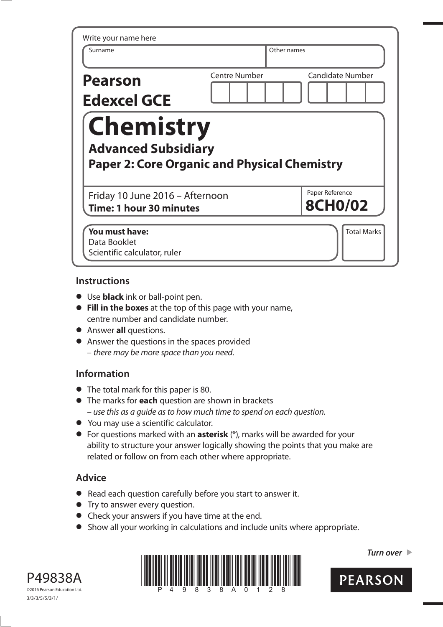| Surname                                                                                               | Other names          |                                   |
|-------------------------------------------------------------------------------------------------------|----------------------|-----------------------------------|
| <b>Pearson</b><br><b>Edexcel GCE</b>                                                                  | <b>Centre Number</b> | <b>Candidate Number</b>           |
| <b>Chemistry</b><br><b>Advanced Subsidiary</b><br><b>Paper 2: Core Organic and Physical Chemistry</b> |                      |                                   |
|                                                                                                       |                      |                                   |
| Friday 10 June 2016 - Afternoon<br><b>Time: 1 hour 30 minutes</b>                                     |                      | Paper Reference<br><b>8CH0/02</b> |

## **Instructions**

- **•** Use **black** ink or ball-point pen.
- **• Fill in the boxes** at the top of this page with your name, centre number and candidate number.
- **•** Answer **all** questions.
- **•** Answer the questions in the spaces provided – there may be more space than you need.

## **Information**

- **•** The total mark for this paper is 80.
- **•** The marks for **each** question are shown in brackets – use this as a guide as to how much time to spend on each question.
- **•** You may use a scientific calculator.
- **•** For questions marked with an **asterisk** (\*), marks will be awarded for your ability to structure your answer logically showing the points that you make are related or follow on from each other where appropriate.

## **Advice**

- **•** Read each question carefully before you start to answer it.
- **•** Try to answer every question.
- **•** Check your answers if you have time at the end.
- **•** Show all your working in calculations and include units where appropriate.





*Turn over* 

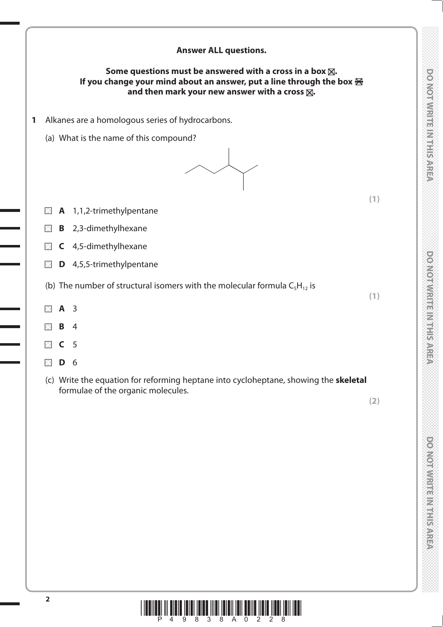|   | <b>Answer ALL questions.</b>                                                                                                                                                                                       |     |
|---|--------------------------------------------------------------------------------------------------------------------------------------------------------------------------------------------------------------------|-----|
|   | Some questions must be answered with a cross in a box $\boxtimes$ .<br>If you change your mind about an answer, put a line through the box $\boxtimes$<br>and then mark your new answer with a cross $\boxtimes$ . |     |
| 1 | Alkanes are a homologous series of hydrocarbons.                                                                                                                                                                   |     |
|   | (a) What is the name of this compound?                                                                                                                                                                             |     |
|   |                                                                                                                                                                                                                    |     |
|   | A 1,1,2-trimethylpentane                                                                                                                                                                                           | (1) |
|   | <b>B</b> 2,3-dimethylhexane                                                                                                                                                                                        |     |
|   | C 4,5-dimethylhexane                                                                                                                                                                                               |     |
|   | D 4,5,5-trimethylpentane                                                                                                                                                                                           |     |
|   | (b) The number of structural isomers with the molecular formula $C_5H_{12}$ is                                                                                                                                     | (1) |
|   | A <sub>3</sub>                                                                                                                                                                                                     |     |
|   | <b>B</b> 4                                                                                                                                                                                                         |     |
|   | C <sub>5</sub>                                                                                                                                                                                                     |     |
|   | <b>D</b> 6                                                                                                                                                                                                         |     |
|   | (c) Write the equation for reforming heptane into cycloheptane, showing the skeletal<br>formulae of the organic molecules.                                                                                         | (2) |
|   |                                                                                                                                                                                                                    |     |
|   |                                                                                                                                                                                                                    |     |
|   |                                                                                                                                                                                                                    |     |
|   |                                                                                                                                                                                                                    |     |

*DO NOT WRITE IN THIS AREA DO NOT WRITE IN THIS AREA DO NOT WRITE IN THIS AREA DO NOT WRITE IN THIS AREA DO NOT WRITE IN THIS AREA DO NOT WRITE IN THIS AREA DO NOT WRITE IN THIS AREA DO NOT WRITE IN THIS AREA DO NOT WRITE* 

**DOMOTIVIRITIES IN THE VAREA** 

DOMOTWRITE INTERNATION

DO NOT WRITE IN THIS AREA

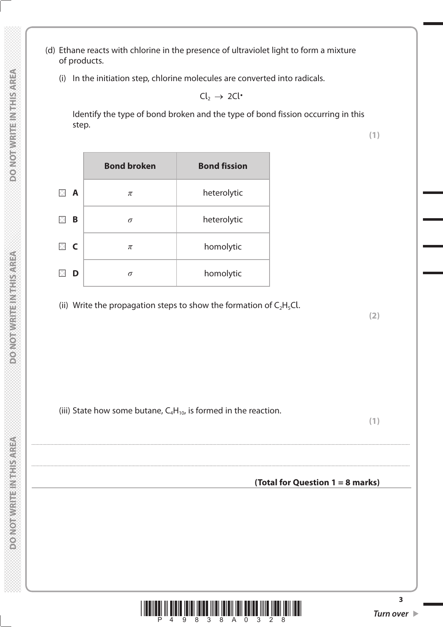- (d) Ethane reacts with chlorine in the presence of ultraviolet light to form a mixture of products.
	- (i) In the initiation step, chlorine molecules are converted into radicals.

 $Cl_2 \rightarrow 2Cl^*$ 

 Identify the type of bond broken and the type of bond fission occurring in this step.

| ٧ |  |
|---|--|
|   |  |

|   |              | <b>Bond broken</b> | <b>Bond fission</b> |
|---|--------------|--------------------|---------------------|
| X | A            | π                  | heterolytic         |
|   | B            | σ                  | heterolytic         |
|   | $\mathsf{C}$ | π                  | homolytic           |
|   | D            | σ                  | homolytic           |

(ii) Write the propagation steps to show the formation of  $C_2H_5Cl$ .

**(2)**

(iii) State how some butane,  $C_4H_{10}$ , is formed in the reaction.

**(Total for Question 1 = 8 marks)**



....................................................................................................................................................................................................................................................................................

....................................................................................................................................................................................................................................................................................

**3**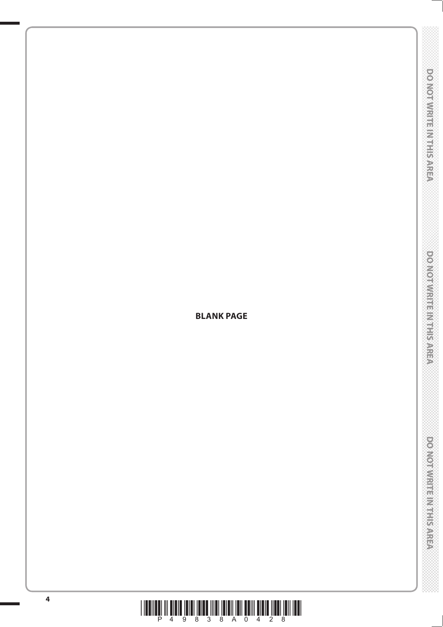

**BLANK PAGE**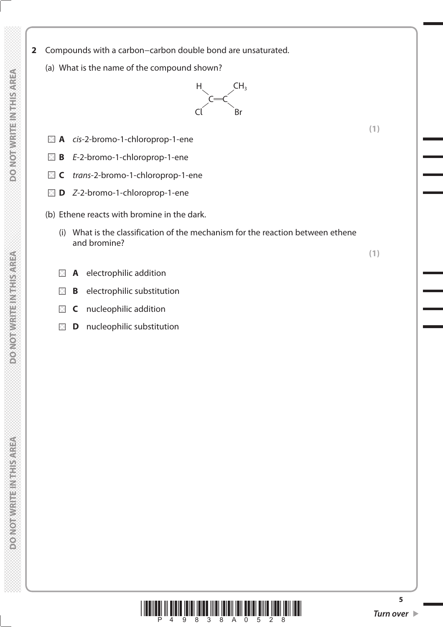- **2** Compounds with a carbon−carbon double bond are unsaturated.
	- (a) What is the name of the compound shown?



- **A** *cis-2-bromo-1-chloroprop-1-ene*
- **B** E-2-bromo-1-chloroprop-1-ene
- **C** *trans-2-bromo-1-chloroprop-1-ene*
- **D Z**-2-bromo-1-chloroprop-1-ene
- (b) Ethene reacts with bromine in the dark.
	- (i) What is the classification of the mechanism for the reaction between ethene and bromine?

**(1)**

- **A** electrophilic addition
- **B** electrophilic substitution
- **C** nucleophilic addition
- **D** nucleophilic substitution

**DONOTWRITEINIHIS AREA** 

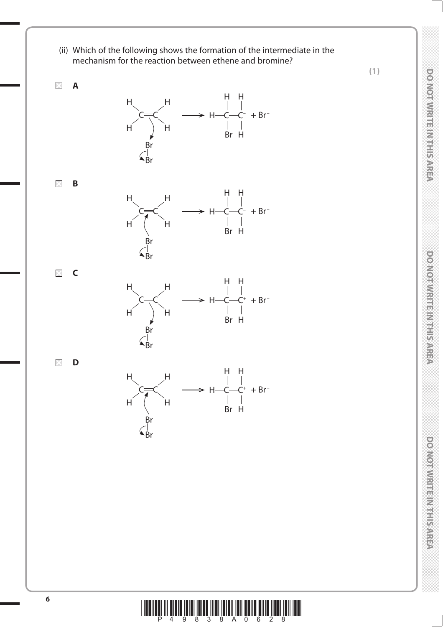

*DO NOT WRITE IN THIS AREA DO NOT WRITE IN THIS AREA DO NOT WRITE IN THIS AREA DO NOT WRITE IN THIS AREA DO NOT WRITE IN THIS AREA DO NOT WRITE IN THIS AREA DO NOT WRITE IN THIS AREA DO NOT WRITE IN THIS AREA DO NOT WRITE* 

**DO NOTWRITEINITEIS AREA** 

DO NOT WRITE IN THIS AREA

DO NOTWRITEINTHIS AREA

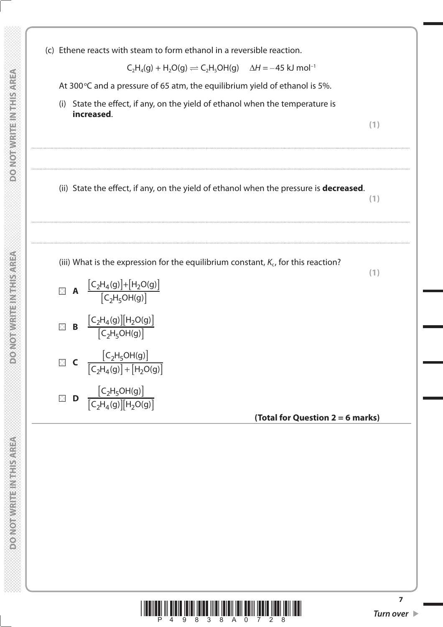**DO NOT WRITE IN THIS AREA** 



At 300 °C and a pressure of 65 atm, the equilibrium yield of ethanol is 5%.

(i) State the effect, if any, on the yield of ethanol when the temperature is increased.

(ii) State the effect, if any, on the yield of ethanol when the pressure is decreased.

 $(1)$ 

 $(1)$ 

(iii) What is the expression for the equilibrium constant,  $K_c$ , for this reaction?

 $(1)$ 



(Total for Question  $2 = 6$  marks)



 $\overline{z}$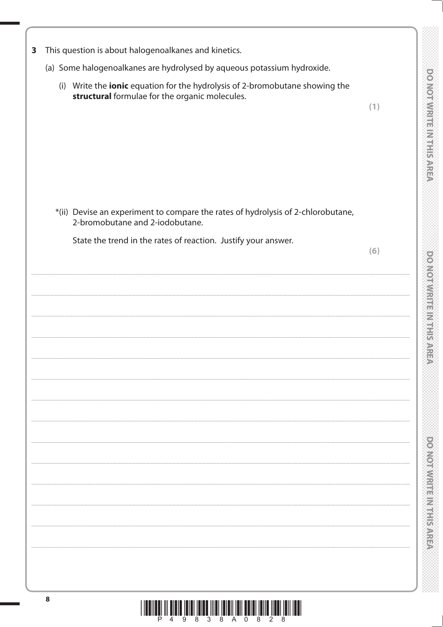| (a) Some halogenoalkanes are hydrolysed by aqueous potassium hydroxide.                                                               |     |
|---------------------------------------------------------------------------------------------------------------------------------------|-----|
| (i) Write the <b>ionic</b> equation for the hydrolysis of 2-bromobutane showing the<br>structural formulae for the organic molecules. | (1) |
| *(ii) Devise an experiment to compare the rates of hydrolysis of 2-chlorobutane,<br>2-bromobutane and 2-iodobutane.                   |     |
| State the trend in the rates of reaction. Justify your answer.                                                                        | (6) |
|                                                                                                                                       |     |
|                                                                                                                                       |     |
|                                                                                                                                       |     |
|                                                                                                                                       |     |
|                                                                                                                                       |     |
|                                                                                                                                       |     |
|                                                                                                                                       |     |
|                                                                                                                                       |     |
|                                                                                                                                       |     |
|                                                                                                                                       |     |
|                                                                                                                                       |     |
|                                                                                                                                       |     |
|                                                                                                                                       |     |
|                                                                                                                                       |     |
|                                                                                                                                       |     |
|                                                                                                                                       |     |

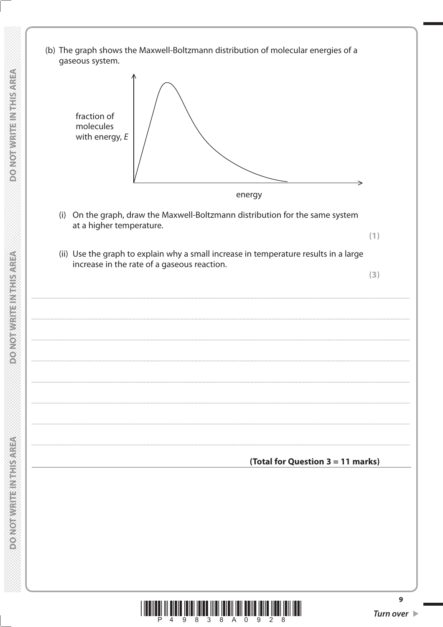(b) The graph shows the Maxwell-Boltzmann distribution of molecular energies of a gaseous system.



- (i) On the graph, draw the Maxwell-Boltzmann distribution for the same system at a higher temperature.
- (ii) Use the graph to explain why a small increase in temperature results in a large increase in the rate of a gaseous reaction.
- $(3)$

 $(1)$ 

(Total for Question  $3 = 11$  marks)



 $\overline{9}$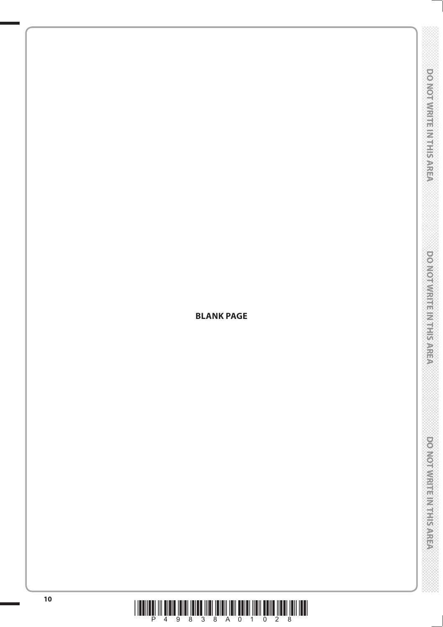

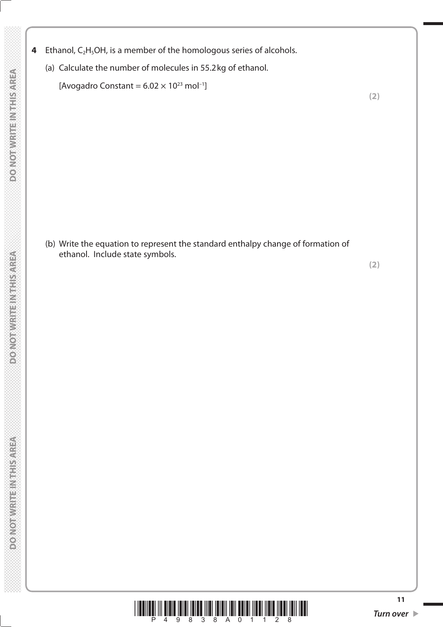- **4** Ethanol, C<sub>2</sub>H<sub>5</sub>OH, is a member of the homologous series of alcohols.
	- (a) Calculate the number of molecules in 55.2kg of ethanol.

[Avogadro Constant =  $6.02 \times 10^{23}$  mol<sup>-1</sup>]

**(2)**

 (b) Write the equation to represent the standard enthalpy change of formation of ethanol. Include state symbols.

**(2)**

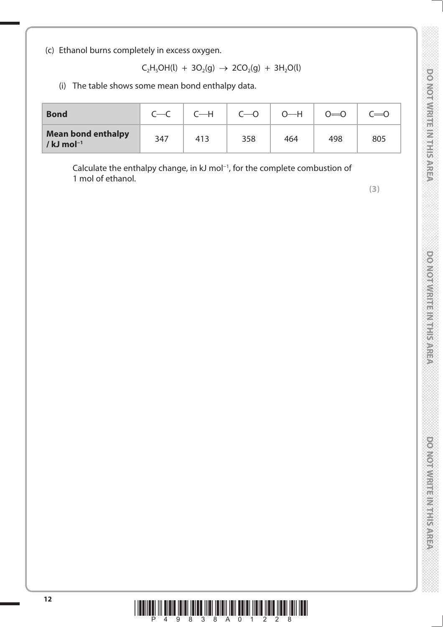(c) Ethanol burns completely in excess oxygen.

$$
C_2H_5OH(l) + 3O_2(g) \rightarrow 2CO_2(g) + 3H_2O(l)
$$

(i) The table shows some mean bond enthalpy data.

| <b>Bond</b>                                           | $C - C$ | $C-H$ | C <sub>0</sub> | $O-H$ | $0=0$ | $C=0$ |
|-------------------------------------------------------|---------|-------|----------------|-------|-------|-------|
| <b>Mean bond enthalpy</b><br>/ $kJ$ mol <sup>-1</sup> | 347     | 413   | 358            | 464   | 498   | 805   |

Calculate the enthalpy change, in kJ mol<sup>-1</sup>, for the complete combustion of 1 mol of ethanol.

**(3)**

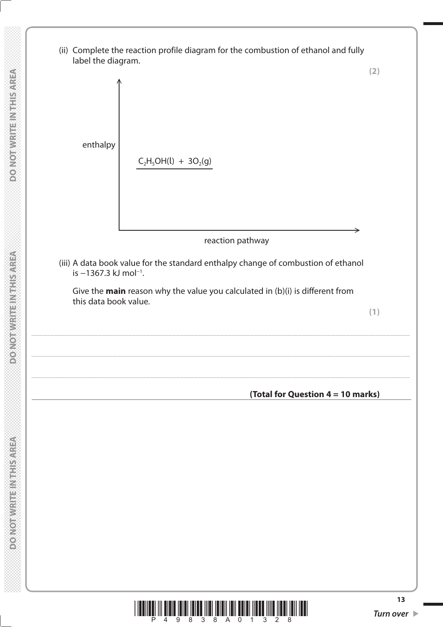(ii) Complete the reaction profile diagram for the combustion of ethanol and fully label the diagram.



reaction pathway

 (iii) A data book value for the standard enthalpy change of combustion of ethanol is −1367.3 kJ mol−1.

 Give the **main** reason why the value you calculated in (b)(i) is different from this data book value.

....................................................................................................................................................................................................................................................................................

....................................................................................................................................................................................................................................................................................

....................................................................................................................................................................................................................................................................................

**(1)**

**(Total for Question 4 = 10 marks)**

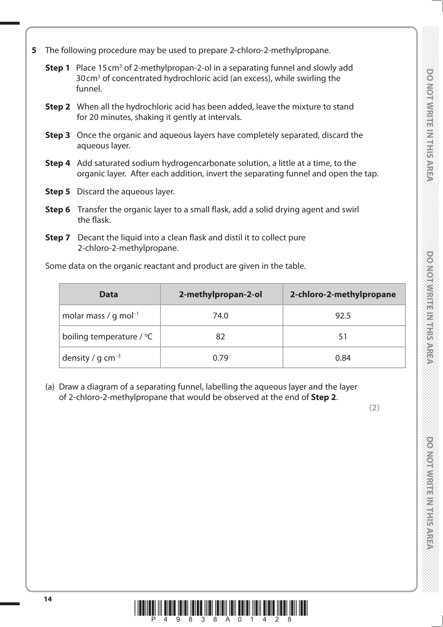- **5** The following procedure may be used to prepare 2-chloro-2-methylpropane.
	- **Step 1** Place 15 cm<sup>3</sup> of 2-methylpropan-2-ol in a separating funnel and slowly add 30 cm<sup>3</sup> of concentrated hydrochloric acid (an excess), while swirling the funnel.
		- **Step 2** When all the hydrochloric acid has been added, leave the mixture to stand for 20 minutes, shaking it gently at intervals.
		- **Step 3** Once the organic and aqueous layers have completely separated, discard the aqueous layer.
		- **Step 4** Add saturated sodium hydrogencarbonate solution, a little at a time, to the organic layer. After each addition, invert the separating funnel and open the tap.
		- **Step 5** Discard the aqueous layer.
		- **Step 6** Transfer the organic layer to a small flask, add a solid drying agent and swirl the flask.
		- **Step 7** Decant the liquid into a clean flask and distil it to collect pure 2-chloro-2-methylpropane.

Some data on the organic reactant and product are given in the table.

| <b>Data</b>                      | 2-methylpropan-2-ol | 2-chloro-2-methylpropane |
|----------------------------------|---------------------|--------------------------|
| molar mass / g mol <sup>-1</sup> | 74.0                | 92.5                     |
| boiling temperature / °C         | 82                  | 51                       |
| density / $g \text{ cm}^{-3}$    | 0.79                | 0.84                     |

 (a) Draw a diagram of a separating funnel, labelling the aqueous layer and the layer of 2-chloro-2-methylpropane that would be observed at the end of **Step 2**.

**(2)**

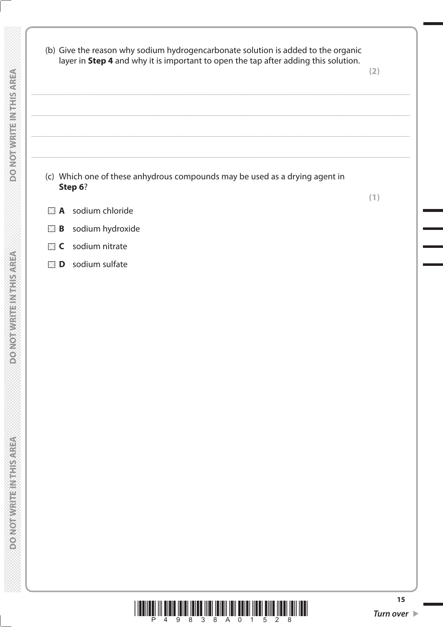**DO NOT WRITE IN THIS AREA** 

| (b) Give the reason why sodium hydrogencarbonate solution is added to the organic<br>layer in Step 4 and why it is important to open the tap after adding this solution. |  |
|--------------------------------------------------------------------------------------------------------------------------------------------------------------------------|--|
|                                                                                                                                                                          |  |
|                                                                                                                                                                          |  |
|                                                                                                                                                                          |  |
|                                                                                                                                                                          |  |
|                                                                                                                                                                          |  |

- (c) Which one of these anhydrous compounds may be used as a drying agent in Step 6?
- sodium chloride  $\boxtimes$  A

- sodium hydroxide  $X$  B
- sodium nitrate  $\boxtimes$  C
- D sodium sulfate



 $15$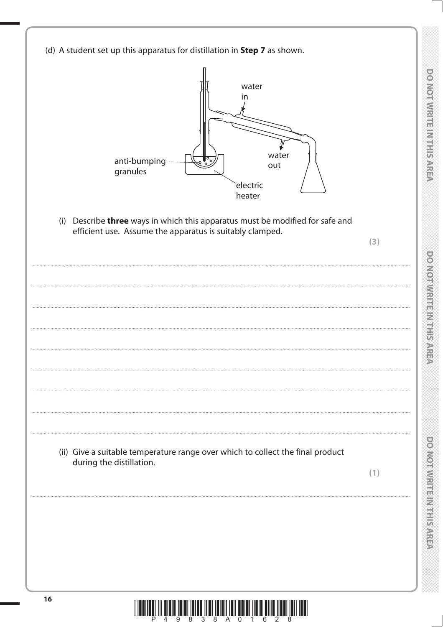| water<br>in<br>water<br>anti-bumping<br>о<br>out<br>granules<br>electric<br>heater                                                        |     |
|-------------------------------------------------------------------------------------------------------------------------------------------|-----|
| (i) Describe three ways in which this apparatus must be modified for safe and<br>efficient use. Assume the apparatus is suitably clamped. |     |
|                                                                                                                                           | (3) |
|                                                                                                                                           |     |
|                                                                                                                                           |     |
|                                                                                                                                           |     |
|                                                                                                                                           |     |
|                                                                                                                                           |     |
|                                                                                                                                           |     |
|                                                                                                                                           |     |
|                                                                                                                                           |     |
| (ii) Give a suitable temperature range over which to collect the final product                                                            |     |
| during the distillation.                                                                                                                  | (1) |
|                                                                                                                                           |     |
|                                                                                                                                           |     |
|                                                                                                                                           |     |

 $\begin{array}{c} \end{array} \begin{array}{c} \begin{array}{c} \begin{array}{c} \begin{array}{c} \end{array} \\ \begin{array}{c} \end{array} \\ \begin{array}{c} \end{array} \\ \begin{array}{c} \end{array} \\ \begin{array}{c} \end{array} \\ \begin{array}{c} \end{array} \\ \begin{array}{c} \end{array} \\ \begin{array}{c} \end{array} \\ \begin{array}{c} \end{array} \\ \begin{array}{c} \end{array} \\ \begin{array}{c} \end{array} \\ \begin{array}{c} \end{array} \\ \begin{array}{c} \end{array} \\ \begin{array}{c} \end{array} \\ \begin{array}{$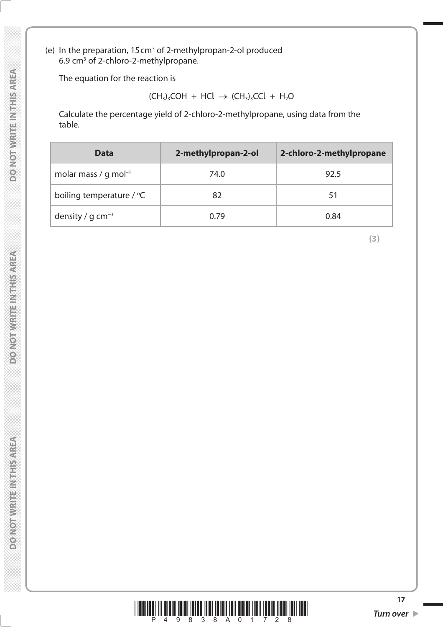(e) In the preparation,  $15 \text{ cm}^3$  of 2-methylpropan-2-ol produced 6.9 cm<sup>3</sup> of 2-chloro-2-methylpropane.

The equation for the reaction is

 $(CH<sub>3</sub>)<sub>3</sub>COH + HCl \rightarrow (CH<sub>3</sub>)<sub>3</sub>CCl + H<sub>2</sub>O$ 

 Calculate the percentage yield of 2-chloro-2-methylpropane, using data from the table.

| <b>Data</b>                      | 2-methylpropan-2-ol | 2-chloro-2-methylpropane |
|----------------------------------|---------------------|--------------------------|
| molar mass / g mol <sup>-1</sup> | 74.0                | 92.5                     |
| boiling temperature / °C         | 82                  | 51                       |
| density / $g \text{ cm}^{-3}$    | 0.79                | 0.84                     |

**(3)**

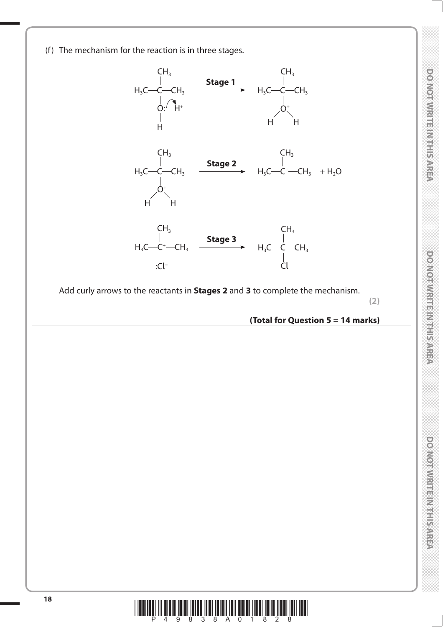(f) The mechanism for the reaction is in three stages.



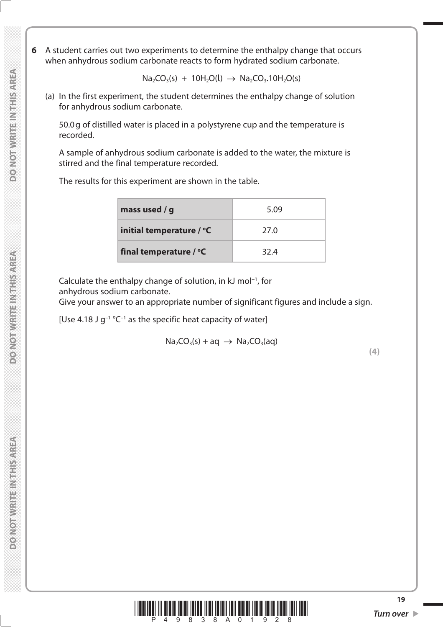**6** A student carries out two experiments to determine the enthalpy change that occurs when anhydrous sodium carbonate reacts to form hydrated sodium carbonate.

 $Na<sub>2</sub>CO<sub>3</sub>(s) + 10H<sub>2</sub>O(l) \rightarrow Na<sub>2</sub>CO<sub>3</sub>$ .10H<sub>2</sub>O(s)

 (a) In the first experiment, the student determines the enthalpy change of solution for anhydrous sodium carbonate.

 50.0g of distilled water is placed in a polystyrene cup and the temperature is recorded.

 A sample of anhydrous sodium carbonate is added to the water, the mixture is stirred and the final temperature recorded.

The results for this experiment are shown in the table.

| mass used / $g$          | 5.09 |
|--------------------------|------|
| initial temperature / °C | 27.0 |
| final temperature / °C   | 32.4 |

 Calculate the enthalpy change of solution, in kJ mol−1, for anhydrous sodium carbonate.

Give your answer to an appropriate number of significant figures and include a sign.

[Use 4.18 J  $g^{-1}$  °C<sup>-1</sup> as the specific heat capacity of water]

$$
Na_2CO_3(s) + aq \rightarrow Na_2CO_3(aq)
$$

 **(4)**

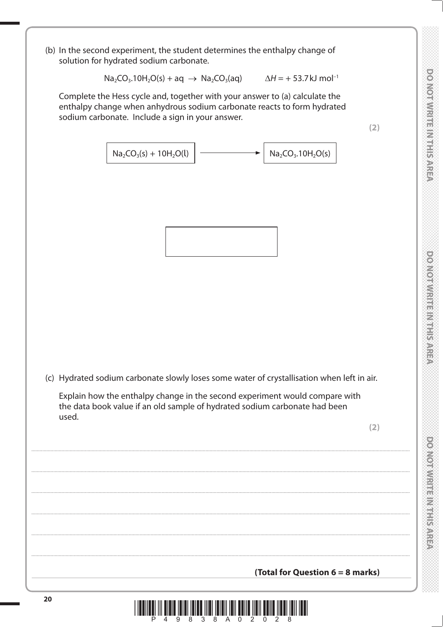(b) In the second experiment, the student determines the enthalpy change of solution for hydrated sodium carbonate.

$$
Na2CO3.10H2O(s) + aq \rightarrow Na2CO3(aq) \qquad \Delta H = +53.7 \text{ kJ mol}^{-1}
$$

Complete the Hess cycle and, together with your answer to (a) calculate the enthalpy change when anhydrous sodium carbonate reacts to form hydrated sodium carbonate. Include a sign in your answer.

$$
Na2CO3(s) + 10H2O(l)
$$
 
$$
Na2CO3.10H2O(s)
$$



(c) Hydrated sodium carbonate slowly loses some water of crystallisation when left in air.

Explain how the enthalpy change in the second experiment would compare with the data book value if an old sample of hydrated sodium carbonate had been used.

 $(2)$ 

 $(2)$ 

(Total for Question  $6 = 8$  marks)

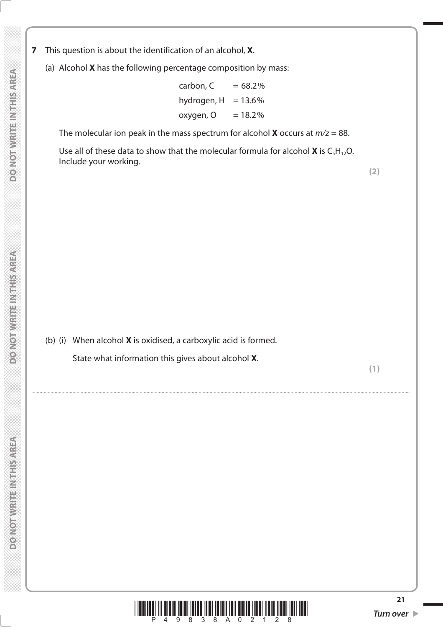- **7** This question is about the identification of an alcohol, **X**.
	- (a) Alcohol **X** has the following percentage composition by mass:

| carbon, C              | $= 68.2\%$ |
|------------------------|------------|
| hydrogen, $H = 13.6\%$ |            |
| oxygen, $O = 18.2\%$   |            |

The molecular ion peak in the mass spectrum for alcohol **X** occurs at  $m/z = 88$ .

Use all of these data to show that the molecular formula for alcohol **X** is  $C_5H_{12}O$ . Include your working.

**(2)**

(b) (i) When alcohol **X** is oxidised, a carboxylic acid is formed.

State what information this gives about alcohol **X**.

**(1)**



....................................................................................................................................................................................................................................................................................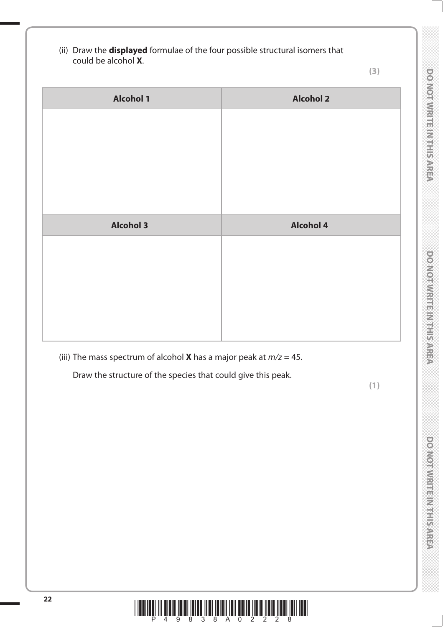(ii) Draw the **displayed** formulae of the four possible structural isomers that could be alcohol **X**.

**DONOTWICTERNIESVREA** 

**DONOTWIRE MATERAREA** 

| <b>Alcohol 1</b> | <b>Alcohol 2</b> |
|------------------|------------------|
|                  |                  |
|                  |                  |
|                  |                  |
|                  |                  |
|                  |                  |
|                  |                  |
| <b>Alcohol 3</b> | <b>Alcohol 4</b> |
|                  |                  |
|                  |                  |
|                  |                  |
|                  |                  |

(iii) The mass spectrum of alcohol **X** has a major peak at  $m/z = 45$ .

Draw the structure of the species that could give this peak.

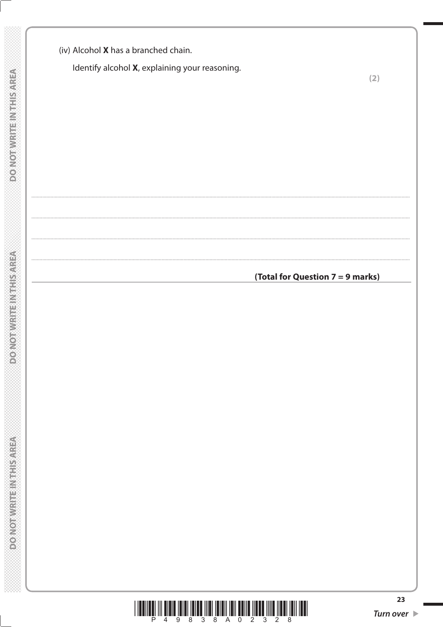| (2)<br>(Total for Question 7 = 9 marks) |
|-----------------------------------------|
|                                         |
|                                         |
|                                         |
|                                         |
|                                         |
|                                         |
|                                         |
|                                         |
|                                         |
|                                         |
|                                         |
|                                         |
|                                         |
|                                         |
|                                         |
|                                         |
|                                         |
|                                         |
|                                         |
|                                         |
|                                         |
|                                         |
|                                         |
|                                         |
|                                         |
|                                         |
|                                         |



 $23$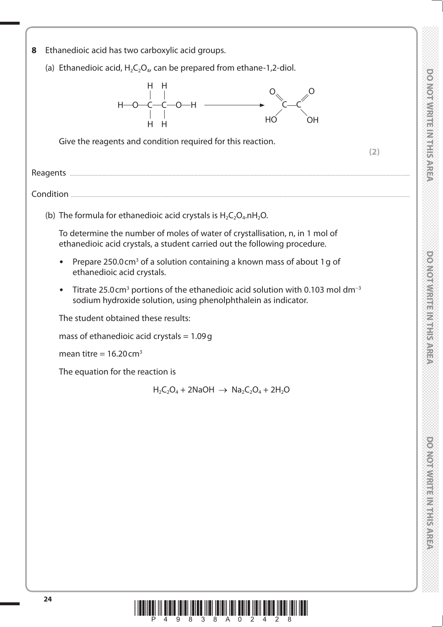

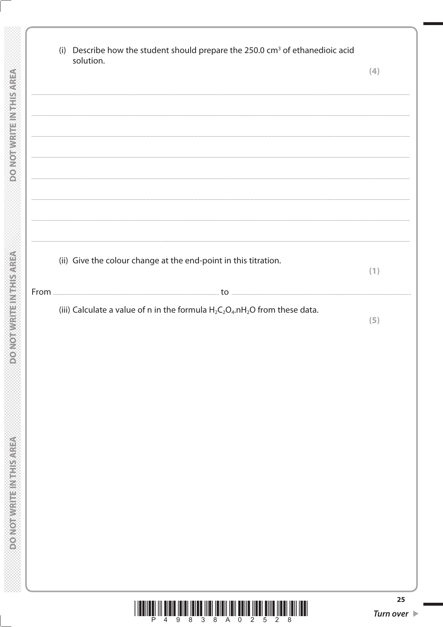| (ii) Give the colour change at the end-point in this titration.                                                      |     |
|----------------------------------------------------------------------------------------------------------------------|-----|
|                                                                                                                      |     |
|                                                                                                                      |     |
|                                                                                                                      |     |
|                                                                                                                      |     |
|                                                                                                                      |     |
|                                                                                                                      |     |
|                                                                                                                      |     |
|                                                                                                                      | (1) |
| (iii) Calculate a value of n in the formula $H_2C_2O_4$ .nH <sub>2</sub> O from these data.                          |     |
|                                                                                                                      | (5) |
|                                                                                                                      |     |
|                                                                                                                      |     |
|                                                                                                                      |     |
|                                                                                                                      |     |
|                                                                                                                      |     |
|                                                                                                                      |     |
|                                                                                                                      |     |
|                                                                                                                      |     |
|                                                                                                                      |     |
| <u> I III AN DI III AN DI III AN DI III AN DI III AN DI III AN DI III AN DI III AN DI III AN DI III AN DI III AN</u> |     |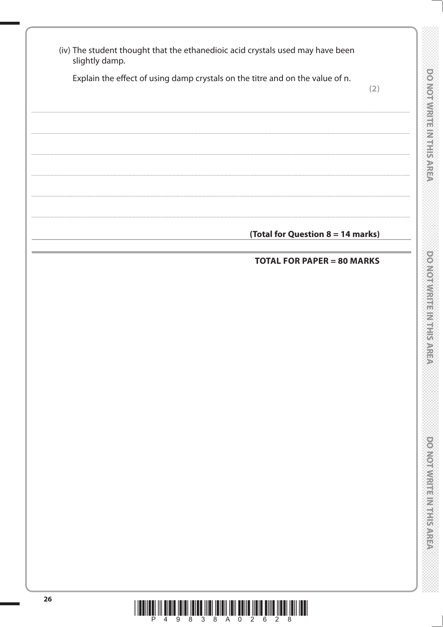| Explain the effect of using damp crystals on the titre and on the value of n. |                                   |
|-------------------------------------------------------------------------------|-----------------------------------|
|                                                                               | (2)                               |
|                                                                               |                                   |
|                                                                               |                                   |
|                                                                               |                                   |
|                                                                               |                                   |
|                                                                               |                                   |
|                                                                               |                                   |
|                                                                               | (Total for Question 8 = 14 marks) |
|                                                                               | <b>TOTAL FOR PAPER = 80 MARKS</b> |
|                                                                               |                                   |
|                                                                               |                                   |
|                                                                               |                                   |
|                                                                               |                                   |
|                                                                               |                                   |
|                                                                               |                                   |
|                                                                               |                                   |
|                                                                               |                                   |
|                                                                               |                                   |
|                                                                               |                                   |
|                                                                               |                                   |
|                                                                               |                                   |
|                                                                               |                                   |
|                                                                               |                                   |
|                                                                               |                                   |
|                                                                               |                                   |
|                                                                               |                                   |
|                                                                               |                                   |

**HAR** 

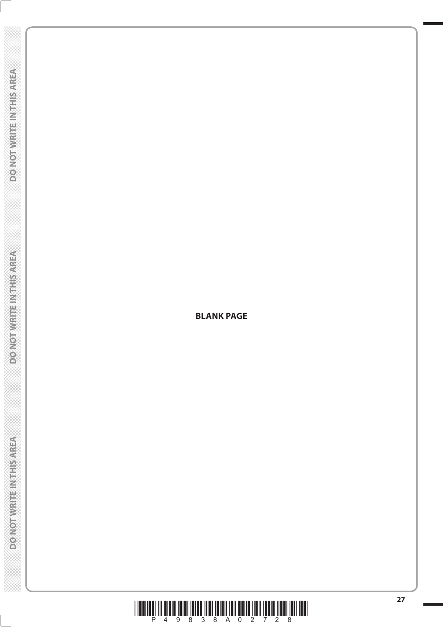